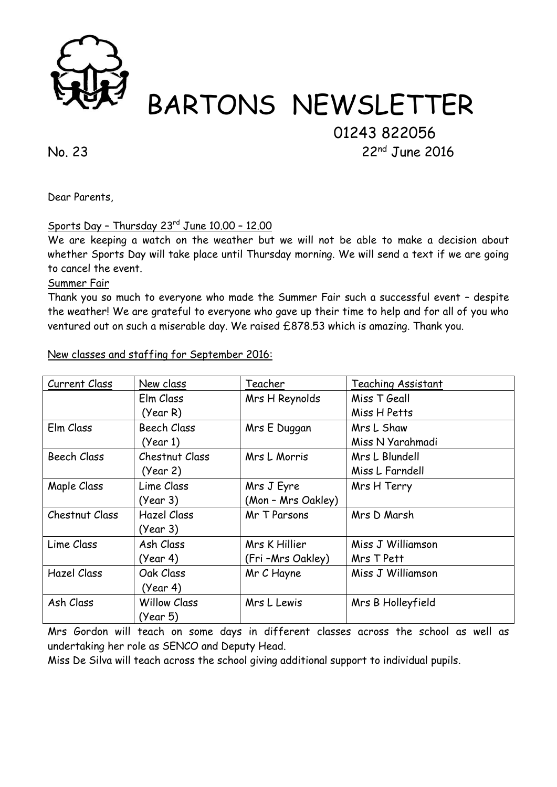

# BARTONS NEWSLETTER

# 01243 822056

No. 23 22nd June 2016

Dear Parents,

## Sports Day – Thursday 23rd June 10.00 – 12.00

We are keeping a watch on the weather but we will not be able to make a decision about whether Sports Day will take place until Thursday morning. We will send a text if we are going to cancel the event.

#### Summer Fair

Thank you so much to everyone who made the Summer Fair such a successful event – despite the weather! We are grateful to everyone who gave up their time to help and for all of you who ventured out on such a miserable day. We raised £878.53 which is amazing. Thank you.

| Current Class      | New class           | Teacher            | Teaching Assistant |
|--------------------|---------------------|--------------------|--------------------|
|                    | Elm Class           | Mrs H Reynolds     | Miss T Geall       |
|                    | (Year R)            |                    | Miss H Petts       |
| Elm Class          | <b>Beech Class</b>  | Mrs E Duggan       | Mrs L Shaw         |
|                    | (Year 1)            |                    | Miss N Yarahmadi   |
| <b>Beech Class</b> | Chestnut Class      | Mrs L Morris       | Mrs L Blundell     |
|                    | (Year 2)            |                    | Miss L Farndell    |
| Maple Class        | Lime Class          | Mrs J Eyre         | Mrs H Terry        |
|                    | (Year 3)            | (Mon - Mrs Oakley) |                    |
| Chestnut Class     | <b>Hazel Class</b>  | Mr T Parsons       | Mrs D Marsh        |
|                    | (Year 3)            |                    |                    |
| Lime Class         | Ash Class           | Mrs K Hillier      | Miss J Williamson  |
|                    | (Year 4)            | (Fri-Mrs Oakley)   | Mrs T Pett         |
| <b>Hazel Class</b> | Oak Class           | Mr C Hayne         | Miss J Williamson  |
|                    | (Year 4)            |                    |                    |
| Ash Class          | <b>Willow Class</b> | Mrs L Lewis        | Mrs B Holleyfield  |
|                    | (Year 5)            |                    |                    |

New classes and staffing for September 2016:

Mrs Gordon will teach on some days in different classes across the school as well as undertaking her role as SENCO and Deputy Head.

Miss De Silva will teach across the school giving additional support to individual pupils.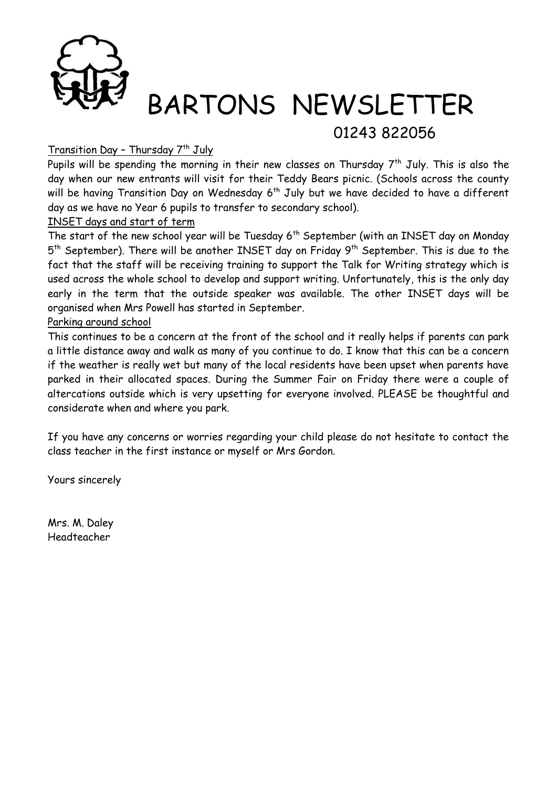

# BARTONS NEWSLETTER

## 01243 822056

#### <u>Transition Day - Thursday 7th July</u>

Pupils will be spending the morning in their new classes on Thursday  $7^{\text{th}}$  July. This is also the day when our new entrants will visit for their Teddy Bears picnic. (Schools across the county will be having Transition Day on Wednesday 6<sup>th</sup> July but we have decided to have a different day as we have no Year 6 pupils to transfer to secondary school).

#### INSET days and start of term

The start of the new school year will be Tuesday  $6<sup>th</sup>$  September (with an INSET day on Monday 5<sup>th</sup> September). There will be another INSET day on Friday 9<sup>th</sup> September. This is due to the fact that the staff will be receiving training to support the Talk for Writing strategy which is used across the whole school to develop and support writing. Unfortunately, this is the only day early in the term that the outside speaker was available. The other INSET days will be organised when Mrs Powell has started in September.

#### Parking around school

This continues to be a concern at the front of the school and it really helps if parents can park a little distance away and walk as many of you continue to do. I know that this can be a concern if the weather is really wet but many of the local residents have been upset when parents have parked in their allocated spaces. During the Summer Fair on Friday there were a couple of altercations outside which is very upsetting for everyone involved. PLEASE be thoughtful and considerate when and where you park.

If you have any concerns or worries regarding your child please do not hesitate to contact the class teacher in the first instance or myself or Mrs Gordon.

Yours sincerely

Mrs. M. Daley Headteacher